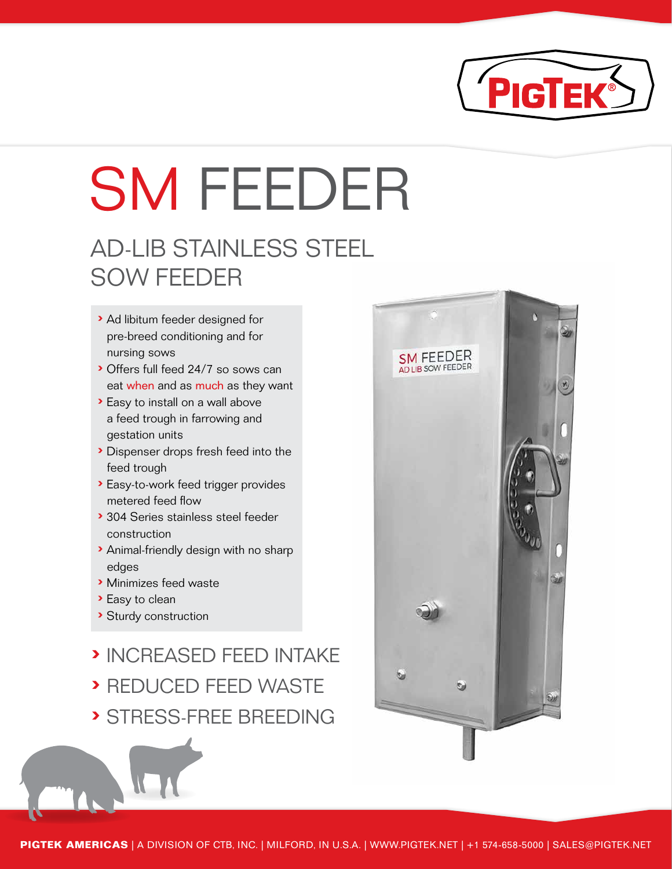

# SM FEEDER

### AD-LIB STAINLESS STEEL SOW FEEDER

- › Ad libitum feeder designed for pre-breed conditioning and for nursing sows
- › Offers full feed 24/7 so sows can eat when and as much as they want
- › Easy to install on a wall above a feed trough in farrowing and gestation units
- › Dispenser drops fresh feed into the feed trough
- › Easy-to-work feed trigger provides metered feed flow
- › 304 Series stainless steel feeder construction
- › Animal-friendly design with no sharp edges
- › Minimizes feed waste
- › Easy to clean
- › Sturdy construction
- › INCREASED FEED INTAKE
- › REDUCED FEED WASTE › STRESS-FREE BREEDING